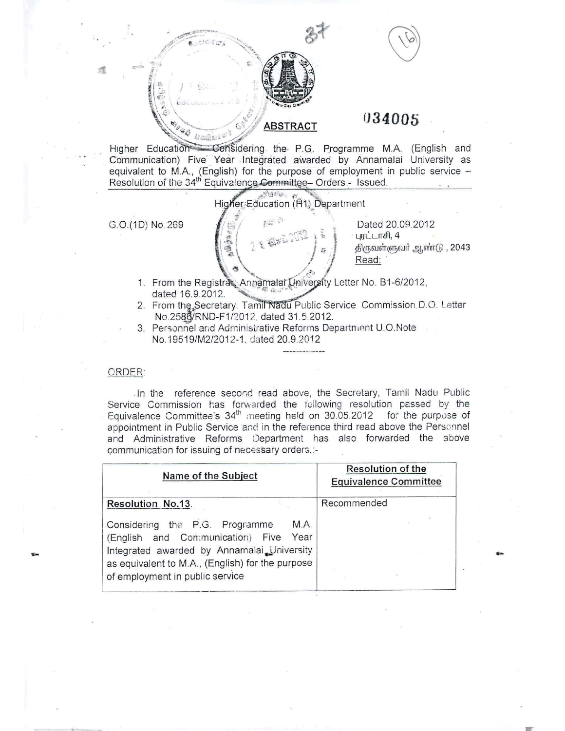

# 034005

Considering the P.G. Programme M.A. (English and Higher Education Communication) Five Year Integrated awarded by Annamalai University as equivalent to M.A., (English) for the purpose of employment in public service -<br>Resolution of the 34<sup>th</sup> Equivalence Committee - Orders - Issued.

G.O.(1D) No. 269

お出の 西国道路

绿斑蛇 Higher: Education (P1) Department

> Dated 20.09.2012 புரட்டாசி, 4 திருவள்ளுவர் ஆண்டு , 2043 Read:

- 1. From the Registrar, Annamalal University Letter No. B1-6/2012, dated 16.9.2012.
- 2. From the Secretary. Tamil Nadu Public Service Commission D.O. Letter No.2586/RND-F1/2012, dated 31.5.2012.
- 3. Personnel and Administrative Reforms Department U.O.Note No.19519/M2/2012-1, dated 20.9.2012

## ORDER:

In the reference second read above, the Secretary, Tamil Nadu Public Service Commission has forwarded the following resolution passed by the Equivalence Committee's 34<sup>th</sup> meeting held on 30.05.2012 for the purpose of appointment in Public Service and in the reference third read above the Personnel and Administrative Reforms Department has also forwarded the above communication for issuing of necessary orders.:-

| Name of the Subject                                                                                                                                                                                                  | <b>Resolution of the</b><br><b>Equivalence Committee</b> |
|----------------------------------------------------------------------------------------------------------------------------------------------------------------------------------------------------------------------|----------------------------------------------------------|
| Resolution No.13.                                                                                                                                                                                                    | Recommended                                              |
| M.A.<br>Considering the P.G. Programme<br>(English and Communication) Five Year<br>Integrated awarded by Annamalai University<br>as equivalent to M.A., (English) for the purpose<br>of employment in public service |                                                          |